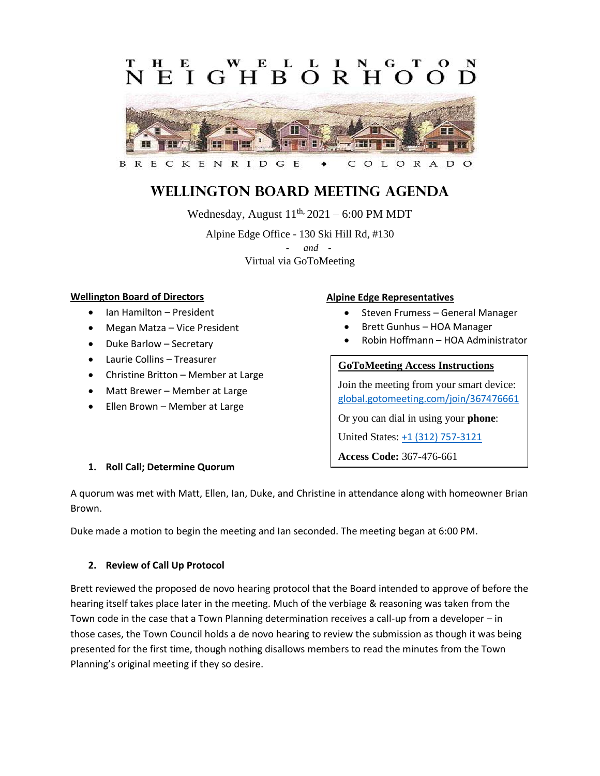# L **EIGHBORH**  $\Omega$



#### G E C OLORAD

# **Wellington Board Meeting Agenda**

Wednesday, August  $11<sup>th</sup>$ , 2021 – 6:00 PM MDT Alpine Edge Office - 130 Ski Hill Rd, #130 - *and -* Virtual via GoToMeeting

# **Wellington Board of Directors**

- Ian Hamilton President
- Megan Matza Vice President
- Duke Barlow Secretary
- Laurie Collins Treasurer
- Christine Britton Member at Large
- Matt Brewer Member at Large
- Ellen Brown Member at Large

# **Alpine Edge Representatives**

- Steven Frumess General Manager
- Brett Gunhus HOA Manager
- Robin Hoffmann HOA Administrator

# **GoToMeeting Access Instructions**

Join the meeting from your smart device: [global.gotomeeting.com/join/367476661](https://global.gotomeeting.com/join/367476661)

Or you can dial in using your **phone**:

United States: [+1 \(312\) 757-3121](tel:+13127573121,,367476661)

**Access Code:** 367-476-661

# **1. Roll Call; Determine Quorum**

A quorum was met with Matt, Ellen, Ian, Duke, and Christine in attendance along with homeowner Brian Brown.

Duke made a motion to begin the meeting and Ian seconded. The meeting began at 6:00 PM.

# **2. Review of Call Up Protocol**

Brett reviewed the proposed de novo hearing protocol that the Board intended to approve of before the hearing itself takes place later in the meeting. Much of the verbiage & reasoning was taken from the Town code in the case that a Town Planning determination receives a call-up from a developer – in those cases, the Town Council holds a de novo hearing to review the submission as though it was being presented for the first time, though nothing disallows members to read the minutes from the Town Planning's original meeting if they so desire.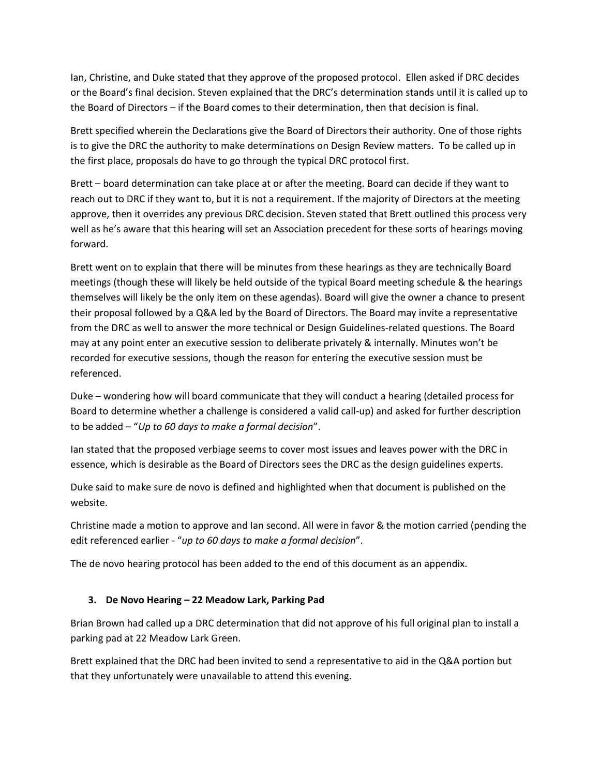Ian, Christine, and Duke stated that they approve of the proposed protocol. Ellen asked if DRC decides or the Board's final decision. Steven explained that the DRC's determination stands until it is called up to the Board of Directors – if the Board comes to their determination, then that decision is final.

Brett specified wherein the Declarations give the Board of Directors their authority. One of those rights is to give the DRC the authority to make determinations on Design Review matters. To be called up in the first place, proposals do have to go through the typical DRC protocol first.

Brett – board determination can take place at or after the meeting. Board can decide if they want to reach out to DRC if they want to, but it is not a requirement. If the majority of Directors at the meeting approve, then it overrides any previous DRC decision. Steven stated that Brett outlined this process very well as he's aware that this hearing will set an Association precedent for these sorts of hearings moving forward.

Brett went on to explain that there will be minutes from these hearings as they are technically Board meetings (though these will likely be held outside of the typical Board meeting schedule & the hearings themselves will likely be the only item on these agendas). Board will give the owner a chance to present their proposal followed by a Q&A led by the Board of Directors. The Board may invite a representative from the DRC as well to answer the more technical or Design Guidelines-related questions. The Board may at any point enter an executive session to deliberate privately & internally. Minutes won't be recorded for executive sessions, though the reason for entering the executive session must be referenced.

Duke – wondering how will board communicate that they will conduct a hearing (detailed process for Board to determine whether a challenge is considered a valid call-up) and asked for further description to be added – "*Up to 60 days to make a formal decision*".

Ian stated that the proposed verbiage seems to cover most issues and leaves power with the DRC in essence, which is desirable as the Board of Directors sees the DRC as the design guidelines experts.

Duke said to make sure de novo is defined and highlighted when that document is published on the website.

Christine made a motion to approve and Ian second. All were in favor & the motion carried (pending the edit referenced earlier - "*up to 60 days to make a formal decision*".

The de novo hearing protocol has been added to the end of this document as an appendix.

# **3. De Novo Hearing – 22 Meadow Lark, Parking Pad**

Brian Brown had called up a DRC determination that did not approve of his full original plan to install a parking pad at 22 Meadow Lark Green.

Brett explained that the DRC had been invited to send a representative to aid in the Q&A portion but that they unfortunately were unavailable to attend this evening.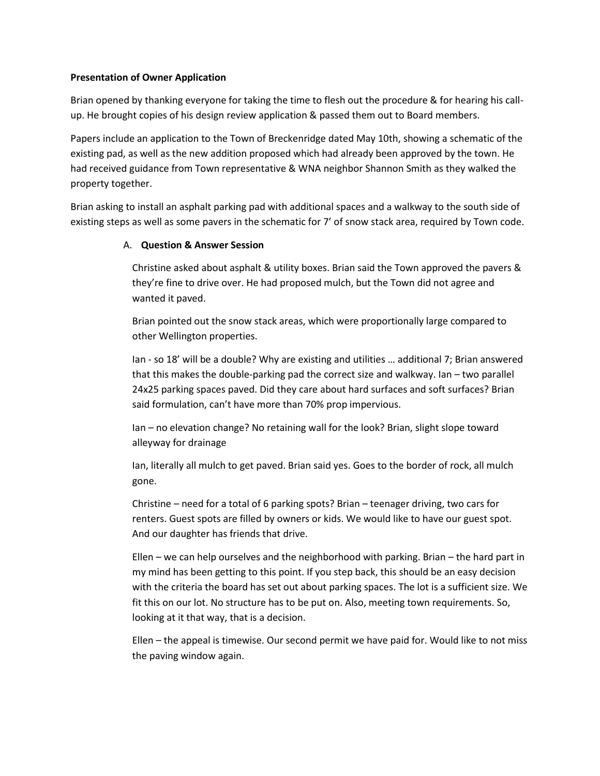# **Presentation of Owner Application**

Brian opened by thanking everyone for taking the time to flesh out the procedure & for hearing his callup. He brought copies of his design review application & passed them out to Board members.

Papers include an application to the Town of Breckenridge dated May 10th, showing a schematic of the existing pad, as well as the new addition proposed which had already been approved by the town. He had received guidance from Town representative & WNA neighbor Shannon Smith as they walked the property together.

Brian asking to install an asphalt parking pad with additional spaces and a walkway to the south side of existing steps as well as some pavers in the schematic for 7' of snow stack area, required by Town code.

#### A. **Question & Answer Session**

Christine asked about asphalt & utility boxes. Brian said the Town approved the pavers & they're fine to drive over. He had proposed mulch, but the Town did not agree and wanted it paved.

Brian pointed out the snow stack areas, which were proportionally large compared to other Wellington properties.

Ian - so 18' will be a double? Why are existing and utilities … additional 7; Brian answered that this makes the double-parking pad the correct size and walkway. Ian – two parallel 24x25 parking spaces paved. Did they care about hard surfaces and soft surfaces? Brian said formulation, can't have more than 70% prop impervious.

Ian – no elevation change? No retaining wall for the look? Brian, slight slope toward alleyway for drainage

Ian, literally all mulch to get paved. Brian said yes. Goes to the border of rock, all mulch gone.

Christine – need for a total of 6 parking spots? Brian – teenager driving, two cars for renters. Guest spots are filled by owners or kids. We would like to have our guest spot. And our daughter has friends that drive.

Ellen – we can help ourselves and the neighborhood with parking. Brian – the hard part in my mind has been getting to this point. If you step back, this should be an easy decision with the criteria the board has set out about parking spaces. The lot is a sufficient size. We fit this on our lot. No structure has to be put on. Also, meeting town requirements. So, looking at it that way, that is a decision.

Ellen – the appeal is timewise. Our second permit we have paid for. Would like to not miss the paving window again.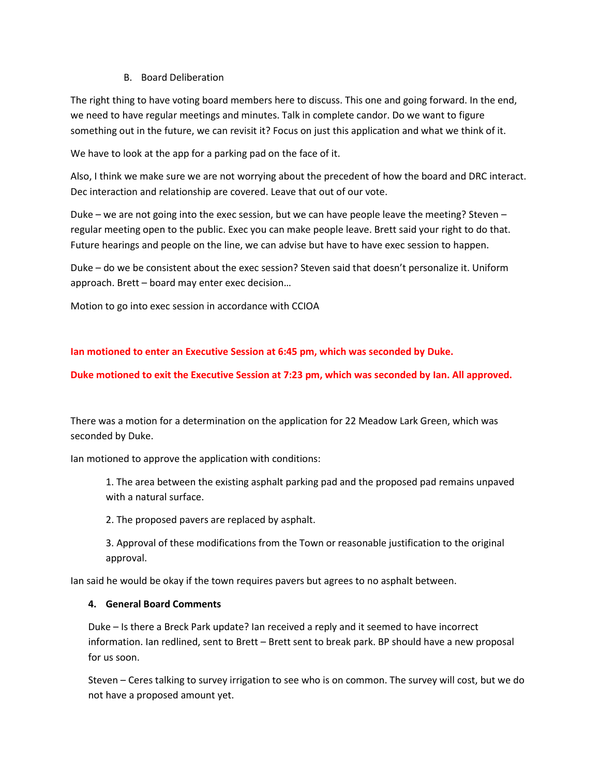# B. Board Deliberation

The right thing to have voting board members here to discuss. This one and going forward. In the end, we need to have regular meetings and minutes. Talk in complete candor. Do we want to figure something out in the future, we can revisit it? Focus on just this application and what we think of it.

We have to look at the app for a parking pad on the face of it.

Also, I think we make sure we are not worrying about the precedent of how the board and DRC interact. Dec interaction and relationship are covered. Leave that out of our vote.

Duke – we are not going into the exec session, but we can have people leave the meeting? Steven – regular meeting open to the public. Exec you can make people leave. Brett said your right to do that. Future hearings and people on the line, we can advise but have to have exec session to happen.

Duke – do we be consistent about the exec session? Steven said that doesn't personalize it. Uniform approach. Brett – board may enter exec decision…

Motion to go into exec session in accordance with CCIOA

**Ian motioned to enter an Executive Session at 6:45 pm, which was seconded by Duke.**

**Duke motioned to exit the Executive Session at 7:23 pm, which was seconded by Ian. All approved.**

There was a motion for a determination on the application for 22 Meadow Lark Green, which was seconded by Duke.

Ian motioned to approve the application with conditions:

1. The area between the existing asphalt parking pad and the proposed pad remains unpaved with a natural surface.

2. The proposed pavers are replaced by asphalt.

3. Approval of these modifications from the Town or reasonable justification to the original approval.

Ian said he would be okay if the town requires pavers but agrees to no asphalt between.

# **4. General Board Comments**

Duke – Is there a Breck Park update? Ian received a reply and it seemed to have incorrect information. Ian redlined, sent to Brett – Brett sent to break park. BP should have a new proposal for us soon.

Steven – Ceres talking to survey irrigation to see who is on common. The survey will cost, but we do not have a proposed amount yet.